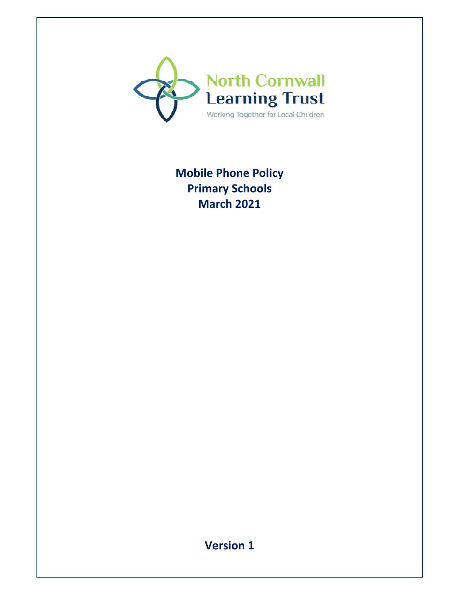

# **Mobile Phone Policy Primary Schools March 2021**

**Version 1**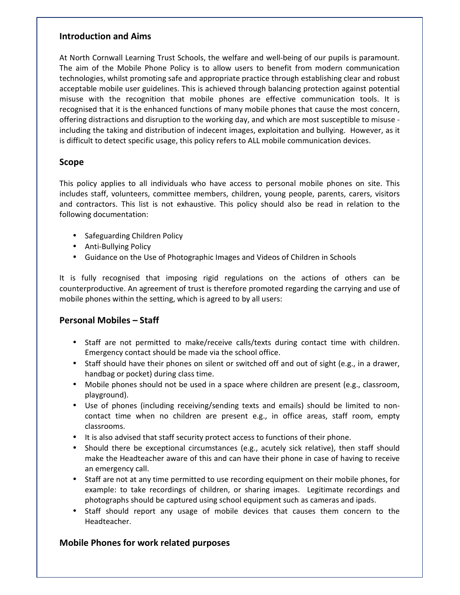#### **Introduction and Aims**

At North Cornwall Learning Trust Schools, the welfare and well-being of our pupils is paramount. The aim of the Mobile Phone Policy is to allow users to benefit from modern communication technologies, whilst promoting safe and appropriate practice through establishing clear and robust acceptable mobile user guidelines. This is achieved through balancing protection against potential misuse with the recognition that mobile phones are effective communication tools. It is recognised that it is the enhanced functions of many mobile phones that cause the most concern, offering distractions and disruption to the working day, and which are most susceptible to misuse including the taking and distribution of indecent images, exploitation and bullying. However, as it is difficult to detect specific usage, this policy refers to ALL mobile communication devices.

#### **Scope**

This policy applies to all individuals who have access to personal mobile phones on site. This includes staff, volunteers, committee members, children, young people, parents, carers, visitors and contractors. This list is not exhaustive. This policy should also be read in relation to the following documentation:

- Safeguarding Children Policy
- Anti-Bullying Policy
- Guidance on the Use of Photographic Images and Videos of Children in Schools

It is fully recognised that imposing rigid regulations on the actions of others can be counterproductive. An agreement of trust is therefore promoted regarding the carrying and use of mobile phones within the setting, which is agreed to by all users:

## **Personal Mobiles – Staff**

- Staff are not permitted to make/receive calls/texts during contact time with children. Emergency contact should be made via the school office.
- Staff should have their phones on silent or switched off and out of sight (e.g., in a drawer, handbag or pocket) during class time.
- Mobile phones should not be used in a space where children are present (e.g., classroom, playground).
- Use of phones (including receiving/sending texts and emails) should be limited to noncontact time when no children are present e.g., in office areas, staff room, empty classrooms.
- It is also advised that staff security protect access to functions of their phone.
- Should there be exceptional circumstances (e.g., acutely sick relative), then staff should make the Headteacher aware of this and can have their phone in case of having to receive an emergency call.
- Staff are not at any time permitted to use recording equipment on their mobile phones, for example: to take recordings of children, or sharing images. Legitimate recordings and photographs should be captured using school equipment such as cameras and ipads.
- Staff should report any usage of mobile devices that causes them concern to the Headteacher.

# **Mobile Phones for work related purposes**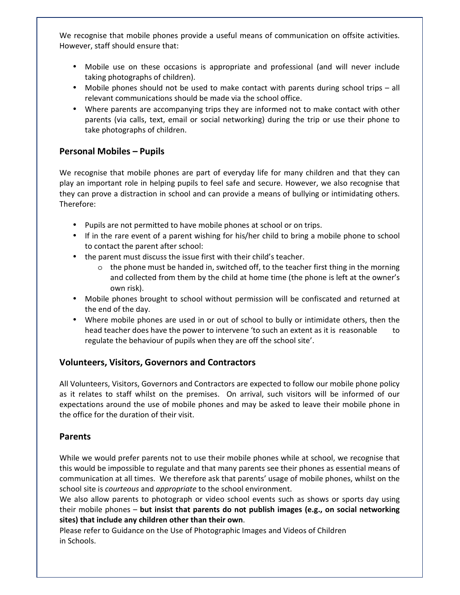We recognise that mobile phones provide a useful means of communication on offsite activities. However, staff should ensure that:

- Mobile use on these occasions is appropriate and professional (and will never include taking photographs of children).
- Mobile phones should not be used to make contact with parents during school trips all relevant communications should be made via the school office.
- Where parents are accompanying trips they are informed not to make contact with other parents (via calls, text, email or social networking) during the trip or use their phone to take photographs of children.

## **Personal Mobiles – Pupils**

We recognise that mobile phones are part of everyday life for many children and that they can play an important role in helping pupils to feel safe and secure. However, we also recognise that they can prove a distraction in school and can provide a means of bullying or intimidating others. Therefore:

- Pupils are not permitted to have mobile phones at school or on trips.
- If in the rare event of a parent wishing for his/her child to bring a mobile phone to school to contact the parent after school:
- the parent must discuss the issue first with their child's teacher.
	- $\circ$  the phone must be handed in, switched off, to the teacher first thing in the morning and collected from them by the child at home time (the phone is left at the owner's own risk).
- Mobile phones brought to school without permission will be confiscated and returned at the end of the day.
- Where mobile phones are used in or out of school to bully or intimidate others, then the head teacher does have the power to intervene 'to such an extent as it is reasonable to regulate the behaviour of pupils when they are off the school site'.

## **Volunteers, Visitors, Governors and Contractors**

All Volunteers, Visitors, Governors and Contractors are expected to follow our mobile phone policy as it relates to staff whilst on the premises. On arrival, such visitors will be informed of our expectations around the use of mobile phones and may be asked to leave their mobile phone in the office for the duration of their visit.

## **Parents**

While we would prefer parents not to use their mobile phones while at school, we recognise that this would be impossible to regulate and that many parents see their phones as essential means of communication at all times. We therefore ask that parents' usage of mobile phones, whilst on the school site is *courteous* and *appropriate* to the school environment.

We also allow parents to photograph or video school events such as shows or sports day using their mobile phones – **but insist that parents do not publish images (e.g., on social networking sites) that include any children other than their own**.

Please refer to Guidance on the Use of Photographic Images and Videos of Children in Schools.